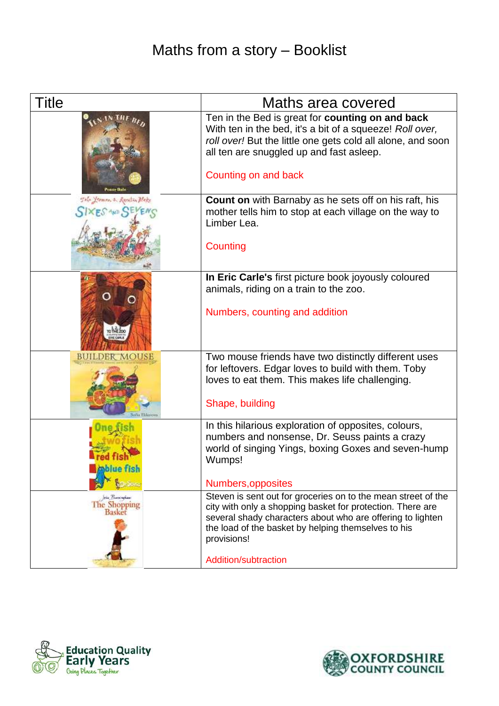## Maths from a story – Booklist

| <b>Title</b>                                     | Maths area covered                                                                                                                                                                                                                                              |
|--------------------------------------------------|-----------------------------------------------------------------------------------------------------------------------------------------------------------------------------------------------------------------------------------------------------------------|
|                                                  | Ten in the Bed is great for counting on and back<br>With ten in the bed, it's a bit of a squeeze! Roll over,<br>roll over! But the little one gets cold all alone, and soon<br>all ten are snuggled up and fast asleep.                                         |
|                                                  | Counting on and back                                                                                                                                                                                                                                            |
| Tone Yeamon & Receive plake                      | <b>Count on</b> with Barnaby as he sets off on his raft, his<br>mother tells him to stop at each village on the way to<br>Limber Lea.                                                                                                                           |
|                                                  | Counting                                                                                                                                                                                                                                                        |
|                                                  | In Eric Carle's first picture book joyously coloured<br>animals, riding on a train to the zoo.<br>Numbers, counting and addition                                                                                                                                |
| <b>BUILDER MOUSE</b>                             | Two mouse friends have two distinctly different uses<br>for leftovers. Edgar loves to build with them. Toby<br>loves to eat them. This makes life challenging.<br>Shape, building                                                                               |
| тізп                                             | In this hilarious exploration of opposites, colours,<br>numbers and nonsense, Dr. Seuss paints a crazy<br>world of singing Yings, boxing Goxes and seven-hump<br>Wumps!                                                                                         |
|                                                  | Numbers, opposites                                                                                                                                                                                                                                              |
| plu Premienkasi<br>The Shopping<br><b>Basket</b> | Steven is sent out for groceries on to the mean street of the<br>city with only a shopping basket for protection. There are<br>several shady characters about who are offering to lighten<br>the load of the basket by helping themselves to his<br>provisions! |
|                                                  | Addition/subtraction                                                                                                                                                                                                                                            |



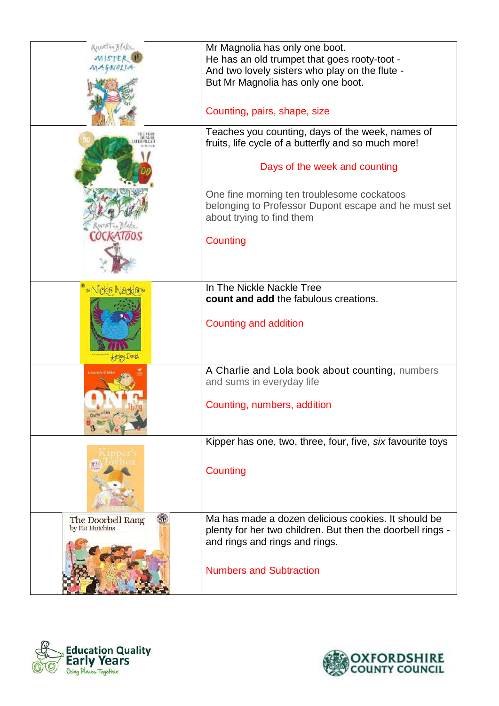| Anentin Blake<br>MISTER | Mr Magnolia has only one boot.<br>He has an old trumpet that goes rooty-toot -                                                  |
|-------------------------|---------------------------------------------------------------------------------------------------------------------------------|
|                         | And two lovely sisters who play on the flute -                                                                                  |
|                         | But Mr Magnolia has only one boot.                                                                                              |
|                         | Counting, pairs, shape, size                                                                                                    |
|                         | Teaches you counting, days of the week, names of<br>fruits, life cycle of a butterfly and so much more!                         |
|                         | Days of the week and counting                                                                                                   |
|                         | One fine morning ten troublesome cockatoos<br>belonging to Professor Dupont escape and he must set<br>about trying to find them |
|                         | Counting                                                                                                                        |
|                         | In The Nickle Nackle Tree                                                                                                       |
|                         | count and add the fabulous creations.                                                                                           |
|                         | <b>Counting and addition</b>                                                                                                    |
|                         | A Charlie and Lola book about counting, numbers<br>and sums in everyday life                                                    |
|                         | Counting, numbers, addition                                                                                                     |
|                         | Kipper has one, two, three, four, five, six favourite toys                                                                      |
|                         | Counting                                                                                                                        |
| The Doorbell Rang       | Ma has made a dozen delicious cookies. It should be                                                                             |
| by Pat Hutchins         | plenty for her two children. But then the doorbell rings -<br>and rings and rings and rings.                                    |
|                         | <b>Numbers and Subtraction</b>                                                                                                  |



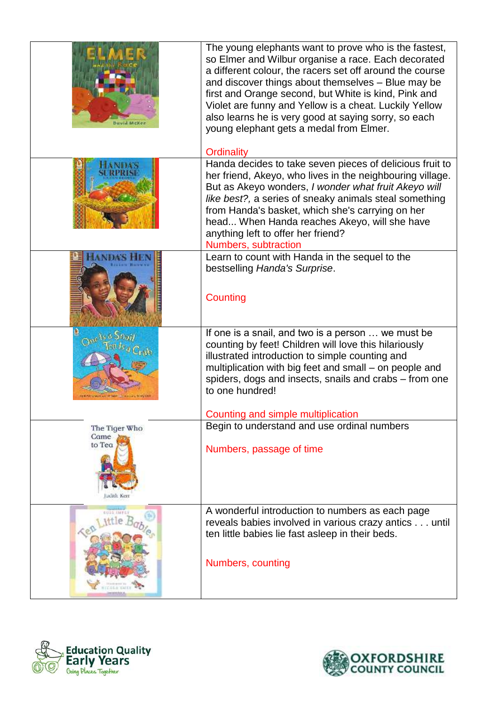| <b>David McKei</b>              | The young elephants want to prove who is the fastest,<br>so Elmer and Wilbur organise a race. Each decorated<br>a different colour, the racers set off around the course<br>and discover things about themselves - Blue may be<br>first and Orange second, but White is kind, Pink and<br>Violet are funny and Yellow is a cheat. Luckily Yellow<br>also learns he is very good at saying sorry, so each<br>young elephant gets a medal from Elmer. |
|---------------------------------|-----------------------------------------------------------------------------------------------------------------------------------------------------------------------------------------------------------------------------------------------------------------------------------------------------------------------------------------------------------------------------------------------------------------------------------------------------|
|                                 | Ordinality<br>Handa decides to take seven pieces of delicious fruit to<br>her friend, Akeyo, who lives in the neighbouring village.<br>But as Akeyo wonders, I wonder what fruit Akeyo will<br>like best?, a series of sneaky animals steal something<br>from Handa's basket, which she's carrying on her<br>head When Handa reaches Akeyo, will she have<br>anything left to offer her friend?<br>Numbers, subtraction                             |
|                                 | Learn to count with Handa in the sequel to the<br>bestselling Handa's Surprise.<br>Counting                                                                                                                                                                                                                                                                                                                                                         |
|                                 | If one is a snail, and two is a person  we must be<br>counting by feet! Children will love this hilariously<br>illustrated introduction to simple counting and<br>multiplication with big feet and small - on people and<br>spiders, dogs and insects, snails and crabs - from one<br>to one hundred!                                                                                                                                               |
|                                 | Counting and simple multiplication                                                                                                                                                                                                                                                                                                                                                                                                                  |
| The Tiger Who<br>Came<br>to Tea | Begin to understand and use ordinal numbers<br>Numbers, passage of time                                                                                                                                                                                                                                                                                                                                                                             |
| 安切さ生 工科学名                       | A wonderful introduction to numbers as each page<br>reveals babies involved in various crazy antics until<br>ten little babies lie fast asleep in their beds.<br>Numbers, counting                                                                                                                                                                                                                                                                  |



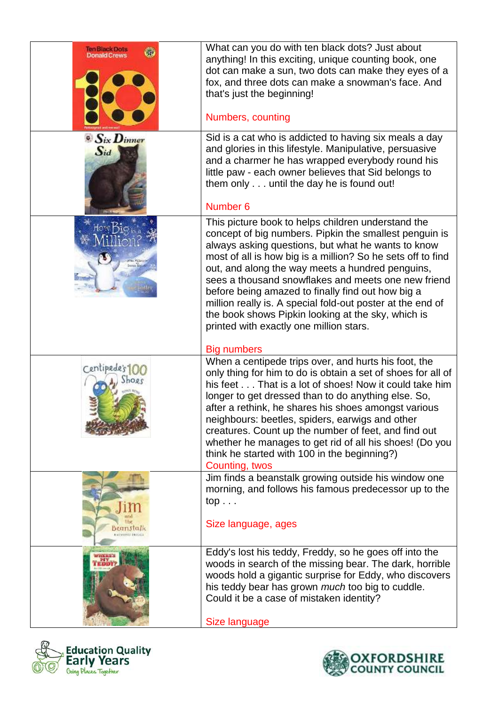| len Black Dots                         | What can you do with ten black dots? Just about<br>anything! In this exciting, unique counting book, one<br>dot can make a sun, two dots can make they eyes of a<br>fox, and three dots can make a snowman's face. And<br>that's just the beginning!<br>Numbers, counting                                                                                                                                                                                                                                                                                        |
|----------------------------------------|------------------------------------------------------------------------------------------------------------------------------------------------------------------------------------------------------------------------------------------------------------------------------------------------------------------------------------------------------------------------------------------------------------------------------------------------------------------------------------------------------------------------------------------------------------------|
| $\bullet$ $S$ ix $D$ inner<br>$S_{id}$ | Sid is a cat who is addicted to having six meals a day<br>and glories in this lifestyle. Manipulative, persuasive<br>and a charmer he has wrapped everybody round his<br>little paw - each owner believes that Sid belongs to<br>them only until the day he is found out!<br>Number <sub>6</sub>                                                                                                                                                                                                                                                                 |
|                                        | This picture book to helps children understand the<br>concept of big numbers. Pipkin the smallest penguin is<br>always asking questions, but what he wants to know<br>most of all is how big is a million? So he sets off to find<br>out, and along the way meets a hundred penguins,<br>sees a thousand snowflakes and meets one new friend<br>before being amazed to finally find out how big a<br>million really is. A special fold-out poster at the end of<br>the book shows Pipkin looking at the sky, which is<br>printed with exactly one million stars. |
| Centipede                              | <b>Big numbers</b><br>When a centipede trips over, and hurts his foot, the<br>only thing for him to do is obtain a set of shoes for all of<br>his feet That is a lot of shoes! Now it could take him<br>longer to get dressed than to do anything else. So,<br>after a rethink, he shares his shoes amongst various<br>neighbours: beetles, spiders, earwigs and other<br>creatures. Count up the number of feet, and find out<br>whether he manages to get rid of all his shoes! (Do you<br>think he started with 100 in the beginning?)<br>Counting, twos      |
| eanstalk                               | Jim finds a beanstalk growing outside his window one<br>morning, and follows his famous predecessor up to the<br>$top \dots$<br>Size language, ages                                                                                                                                                                                                                                                                                                                                                                                                              |
|                                        | Eddy's lost his teddy, Freddy, so he goes off into the<br>woods in search of the missing bear. The dark, horrible<br>woods hold a gigantic surprise for Eddy, who discovers<br>his teddy bear has grown <i>much</i> too big to cuddle.<br>Could it be a case of mistaken identity?<br>Size language                                                                                                                                                                                                                                                              |



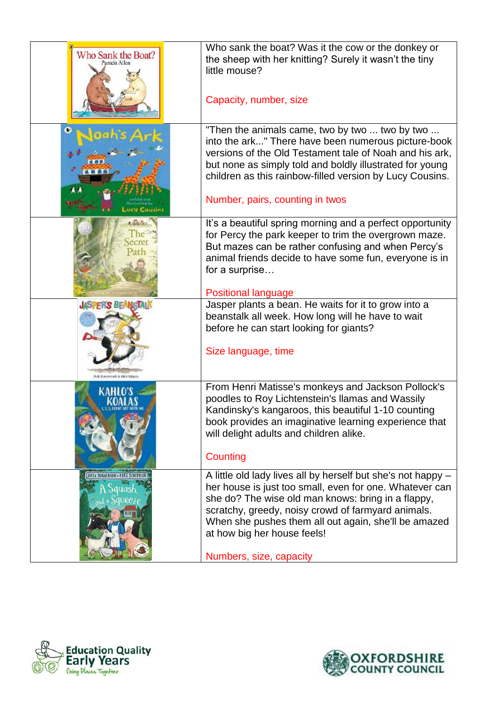| Who Sank the Boat?<br>Pamela Allen                            | Who sank the boat? Was it the cow or the donkey or<br>the sheep with her knitting? Surely it wasn't the tiny<br>little mouse?<br>Capacity, number, size                                                                                                                                                                                               |
|---------------------------------------------------------------|-------------------------------------------------------------------------------------------------------------------------------------------------------------------------------------------------------------------------------------------------------------------------------------------------------------------------------------------------------|
|                                                               | "Then the animals came, two by two  two by two<br>into the ark" There have been numerous picture-book<br>versions of the Old Testament tale of Noah and his ark,<br>but none as simply told and boldly illustrated for young<br>children as this rainbow-filled version by Lucy Cousins.<br>Number, pairs, counting in twos                           |
|                                                               | It's a beautiful spring morning and a perfect opportunity<br>for Percy the park keeper to trim the overgrown maze.<br>But mazes can be rather confusing and when Percy's<br>animal friends decide to have some fun, everyone is in<br>for a surprise<br><b>Positional language</b>                                                                    |
| <b>JASPER'S BEAMSTAIR</b>                                     | Jasper plants a bean. He waits for it to grow into a<br>beanstalk all week. How long will he have to wait<br>before he can start looking for giants?<br>Size language, time                                                                                                                                                                           |
|                                                               | From Henri Matisse's monkeys and Jackson Pollock's<br>poodles to Roy Lichtenstein's Ilamas and Wassily<br>Kandinsky's kangaroos, this beautiful 1-10 counting<br>book provides an imaginative learning experience that<br>will delight adults and children alike.<br>Counting                                                                         |
| <b>JULIA DONALDSON - AXEL SCHEFFLEE</b><br>duash<br>« Squeeze | A little old lady lives all by herself but she's not happy -<br>her house is just too small, even for one. Whatever can<br>she do? The wise old man knows: bring in a flappy,<br>scratchy, greedy, noisy crowd of farmyard animals.<br>When she pushes them all out again, she'll be amazed<br>at how big her house feels!<br>Numbers, size, capacity |



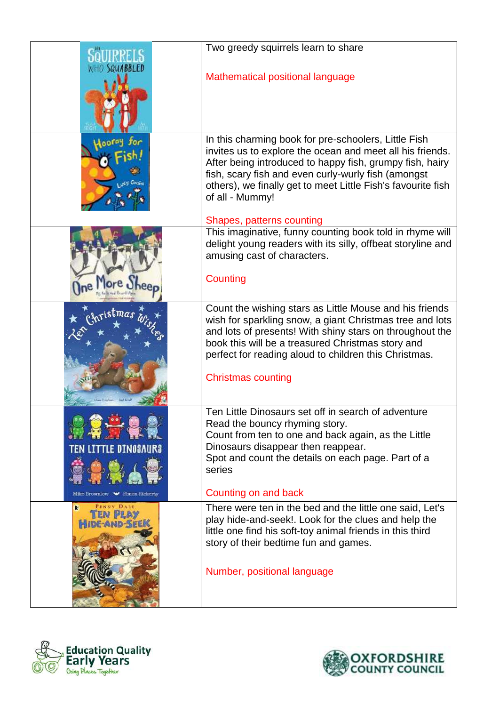|                                | Two greedy squirrels learn to share                                                                                                                                                                                                                                                                                        |
|--------------------------------|----------------------------------------------------------------------------------------------------------------------------------------------------------------------------------------------------------------------------------------------------------------------------------------------------------------------------|
|                                | Mathematical positional language                                                                                                                                                                                                                                                                                           |
|                                | In this charming book for pre-schoolers, Little Fish<br>invites us to explore the ocean and meet all his friends.<br>After being introduced to happy fish, grumpy fish, hairy<br>fish, scary fish and even curly-wurly fish (amongst<br>others), we finally get to meet Little Fish's favourite fish<br>of all - Mummy!    |
|                                | Shapes, patterns counting<br>This imaginative, funny counting book told in rhyme will                                                                                                                                                                                                                                      |
|                                | delight young readers with its silly, offbeat storyline and<br>amusing cast of characters.                                                                                                                                                                                                                                 |
| l'lore,                        | Counting                                                                                                                                                                                                                                                                                                                   |
| <sub>ri</sub> stmar            | Count the wishing stars as Little Mouse and his friends<br>wish for sparkling snow, a giant Christmas tree and lots<br>and lots of presents! With shiny stars on throughout the<br>book this will be a treasured Christmas story and<br>perfect for reading aloud to children this Christmas.<br><b>Christmas counting</b> |
|                                |                                                                                                                                                                                                                                                                                                                            |
| TEN LITTLE DINOSAURS           | Ten Little Dinosaurs set off in search of adventure<br>Read the bouncy rhyming story.<br>Count from ten to one and back again, as the Little<br>Dinosaurs disappear then reappear.<br>Spot and count the details on each page. Part of a<br>series                                                                         |
| Mike Brownlow N Simon Rickerty | Counting on and back                                                                                                                                                                                                                                                                                                       |
| PENNY DALE<br>en plas          | There were ten in the bed and the little one said, Let's<br>play hide-and-seek!. Look for the clues and help the<br>little one find his soft-toy animal friends in this third<br>story of their bedtime fun and games.                                                                                                     |
|                                | Number, positional language                                                                                                                                                                                                                                                                                                |



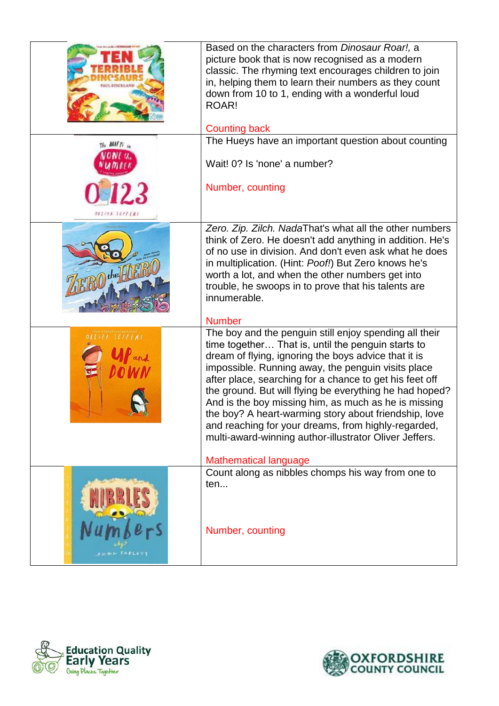|                    | Based on the characters from Dinosaur Roar!, a<br>picture book that is now recognised as a modern<br>classic. The rhyming text encourages children to join<br>in, helping them to learn their numbers as they count<br>down from 10 to 1, ending with a wonderful loud<br>ROAR!<br><b>Counting back</b>                                                                                                                                                                                                                                                                            |
|--------------------|------------------------------------------------------------------------------------------------------------------------------------------------------------------------------------------------------------------------------------------------------------------------------------------------------------------------------------------------------------------------------------------------------------------------------------------------------------------------------------------------------------------------------------------------------------------------------------|
| The <b>HULF</b> To | The Hueys have an important question about counting                                                                                                                                                                                                                                                                                                                                                                                                                                                                                                                                |
|                    | Wait! 0? Is 'none' a number?                                                                                                                                                                                                                                                                                                                                                                                                                                                                                                                                                       |
|                    | Number, counting                                                                                                                                                                                                                                                                                                                                                                                                                                                                                                                                                                   |
| DEIVER IEFFERS     |                                                                                                                                                                                                                                                                                                                                                                                                                                                                                                                                                                                    |
|                    | Zero. Zip. Zilch. NadaThat's what all the other numbers<br>think of Zero. He doesn't add anything in addition. He's<br>of no use in division. And don't even ask what he does<br>in multiplication. (Hint: Poof!) But Zero knows he's<br>worth a lot, and when the other numbers get into<br>trouble, he swoops in to prove that his talents are<br>innumerable.                                                                                                                                                                                                                   |
|                    | <b>Number</b>                                                                                                                                                                                                                                                                                                                                                                                                                                                                                                                                                                      |
| <b>ER TEFFIRS</b>  | The boy and the penguin still enjoy spending all their<br>time together That is, until the penguin starts to<br>dream of flying, ignoring the boys advice that it is<br>impossible. Running away, the penguin visits place<br>after place, searching for a chance to get his feet off<br>the ground. But will flying be everything he had hoped?<br>And is the boy missing him, as much as he is missing<br>the boy? A heart-warming story about friendship, love<br>and reaching for your dreams, from highly-regarded,<br>multi-award-winning author-illustrator Oliver Jeffers. |
|                    | <b>Mathematical language</b>                                                                                                                                                                                                                                                                                                                                                                                                                                                                                                                                                       |
|                    | Count along as nibbles chomps his way from one to<br>ten                                                                                                                                                                                                                                                                                                                                                                                                                                                                                                                           |
|                    | Number, counting                                                                                                                                                                                                                                                                                                                                                                                                                                                                                                                                                                   |



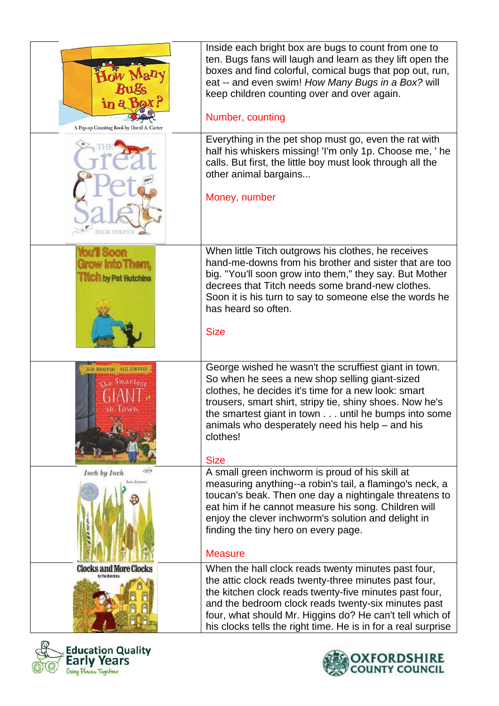| in c<br>A Pop-up Counting Book by David A. Carter                     | Inside each bright box are bugs to count from one to<br>ten. Bugs fans will laugh and learn as they lift open the<br>boxes and find colorful, comical bugs that pop out, run,<br>eat -- and even swim! How Many Bugs in a Box? will<br>keep children counting over and over again.<br>Number, counting                                                          |
|-----------------------------------------------------------------------|-----------------------------------------------------------------------------------------------------------------------------------------------------------------------------------------------------------------------------------------------------------------------------------------------------------------------------------------------------------------|
| <b>MICK INKPIIN</b>                                                   | Everything in the pet shop must go, even the rat with<br>half his whiskers missing! 'I'm only 1p. Choose me, ' he<br>calls. But first, the little boy must look through all the<br>other animal bargains<br>Money, number                                                                                                                                       |
| <b>CALLES SOON</b><br>Grow Into Them,<br><b>Thich by Pat Hutchins</b> | When little Titch outgrows his clothes, he receives<br>hand-me-downs from his brother and sister that are too<br>big. "You'll soon grow into them," they say. But Mother<br>decrees that Titch needs some brand-new clothes.<br>Soon it is his turn to say to someone else the words he<br>has heard so often.<br><b>Size</b>                                   |
| JULIA DONALESON AXEL SCHEFFLER<br>The Smartesy<br>. Lown              | George wished he wasn't the scruffiest giant in town.<br>So when he sees a new shop selling giant-sized<br>clothes, he decides it's time for a new look: smart<br>trousers, smart shirt, stripy tie, shiny shoes. Now he's<br>the smartest giant in town until he bumps into some<br>animals who desperately need his help - and his<br>clothes!<br><b>Size</b> |
| Inch by Inch<br>Leo Lives                                             | A small green inchworm is proud of his skill at<br>measuring anything--a robin's tail, a flamingo's neck, a<br>toucan's beak. Then one day a nightingale threatens to<br>eat him if he cannot measure his song. Children will<br>enjoy the clever inchworm's solution and delight in<br>finding the tiny hero on every page.<br><b>Measure</b>                  |
| <b>Clocks and More Clocks</b>                                         | When the hall clock reads twenty minutes past four,<br>the attic clock reads twenty-three minutes past four,<br>the kitchen clock reads twenty-five minutes past four,<br>and the bedroom clock reads twenty-six minutes past<br>four, what should Mr. Higgins do? He can't tell which of<br>his clocks tells the right time. He is in for a real surprise      |



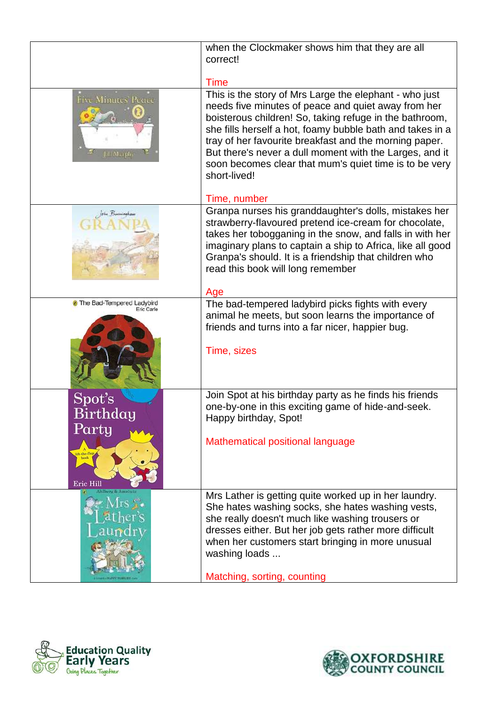|                                                      | when the Clockmaker shows him that they are all<br>correct!                                                                                                                                                                                                                                                                                                                                                                          |
|------------------------------------------------------|--------------------------------------------------------------------------------------------------------------------------------------------------------------------------------------------------------------------------------------------------------------------------------------------------------------------------------------------------------------------------------------------------------------------------------------|
|                                                      | <b>Time</b>                                                                                                                                                                                                                                                                                                                                                                                                                          |
| <b>Five Minutes' Pettee</b><br><b>Jill Marphy</b>    | This is the story of Mrs Large the elephant - who just<br>needs five minutes of peace and quiet away from her<br>boisterous children! So, taking refuge in the bathroom,<br>she fills herself a hot, foamy bubble bath and takes in a<br>tray of her favourite breakfast and the morning paper.<br>But there's never a dull moment with the Larges, and it<br>soon becomes clear that mum's quiet time is to be very<br>short-lived! |
|                                                      | Time, number                                                                                                                                                                                                                                                                                                                                                                                                                         |
|                                                      | Granpa nurses his granddaughter's dolls, mistakes her<br>strawberry-flavoured pretend ice-cream for chocolate,<br>takes her tobogganing in the snow, and falls in with her<br>imaginary plans to captain a ship to Africa, like all good<br>Granpa's should. It is a friendship that children who<br>read this book will long remember                                                                                               |
|                                                      | Age                                                                                                                                                                                                                                                                                                                                                                                                                                  |
| <sup>3</sup> The Bad-Tempered Ladybird<br>Eric Carle | The bad-tempered ladybird picks fights with every<br>animal he meets, but soon learns the importance of<br>friends and turns into a far nicer, happier bug.<br>Time, sizes                                                                                                                                                                                                                                                           |
|                                                      |                                                                                                                                                                                                                                                                                                                                                                                                                                      |
| $\text{Spot's}$<br>Birthday<br>Party                 | Join Spot at his birthday party as he finds his friends<br>one-by-one in this exciting game of hide-and-seek.<br>Happy birthday, Spot!                                                                                                                                                                                                                                                                                               |
| ift-the-fl<br>Eric Hill                              | Mathematical positional language                                                                                                                                                                                                                                                                                                                                                                                                     |
|                                                      | Mrs Lather is getting quite worked up in her laundry.<br>She hates washing socks, she hates washing vests,<br>she really doesn't much like washing trousers or<br>dresses either. But her job gets rather more difficult<br>when her customers start bringing in more unusual<br>washing loads                                                                                                                                       |
| <b><i>ENTERT PERMITS</i></b>                         | Matching, sorting, counting                                                                                                                                                                                                                                                                                                                                                                                                          |



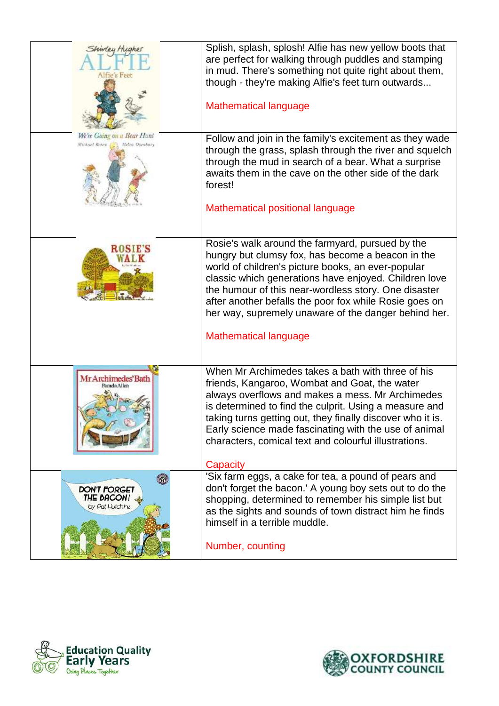| Shindey Hughes<br>Alfre's Feet                                       | Splish, splash, splosh! Alfie has new yellow boots that<br>are perfect for walking through puddles and stamping<br>in mud. There's something not quite right about them,<br>though - they're making Alfie's feet turn outwards                                                                                                                                                                   |
|----------------------------------------------------------------------|--------------------------------------------------------------------------------------------------------------------------------------------------------------------------------------------------------------------------------------------------------------------------------------------------------------------------------------------------------------------------------------------------|
|                                                                      | <b>Mathematical language</b>                                                                                                                                                                                                                                                                                                                                                                     |
| We're Going on a Bear Hunt<br>Michael Royes<br><b>Helen Dsenhary</b> | Follow and join in the family's excitement as they wade<br>through the grass, splash through the river and squelch<br>through the mud in search of a bear. What a surprise<br>awaits them in the cave on the other side of the dark<br>forest!                                                                                                                                                   |
|                                                                      | Mathematical positional language                                                                                                                                                                                                                                                                                                                                                                 |
| <b>ROSIE'S</b>                                                       | Rosie's walk around the farmyard, pursued by the<br>hungry but clumsy fox, has become a beacon in the<br>world of children's picture books, an ever-popular<br>classic which generations have enjoyed. Children love<br>the humour of this near-wordless story. One disaster<br>after another befalls the poor fox while Rosie goes on<br>her way, supremely unaware of the danger behind her.   |
|                                                                      | <b>Mathematical language</b>                                                                                                                                                                                                                                                                                                                                                                     |
| Mr Archimedes' Bath<br>Pamela Allen                                  | When Mr Archimedes takes a bath with three of his<br>friends, Kangaroo, Wombat and Goat, the water<br>always overflows and makes a mess. Mr Archimedes<br>is determined to find the culprit. Using a measure and<br>taking turns getting out, they finally discover who it is.<br>Early science made fascinating with the use of animal<br>characters, comical text and colourful illustrations. |
| <b>DON'T FORGET</b><br>THE BACON!<br>by Pot Hutchins                 | Capacity<br>'Six farm eggs, a cake for tea, a pound of pears and<br>don't forget the bacon.' A young boy sets out to do the<br>shopping, determined to remember his simple list but<br>as the sights and sounds of town distract him he finds<br>himself in a terrible muddle.<br>Number, counting                                                                                               |



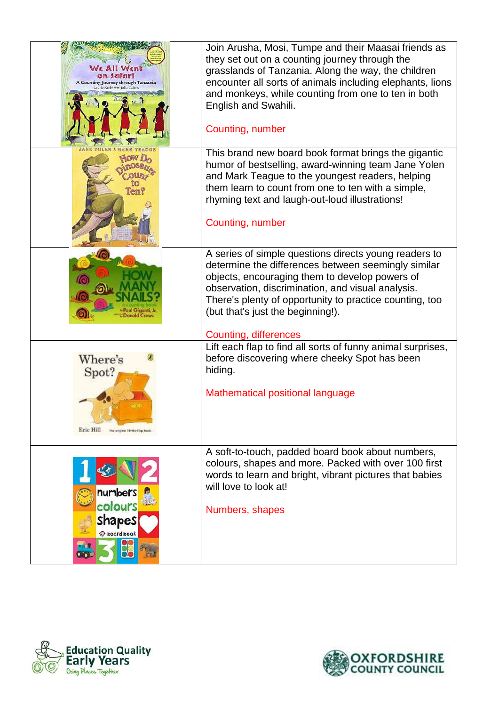| A Counting Journey through Tanzania                          | Join Arusha, Mosi, Tumpe and their Maasai friends as<br>they set out on a counting journey through the<br>grasslands of Tanzania. Along the way, the children<br>encounter all sorts of animals including elephants, lions<br>and monkeys, while counting from one to ten in both<br>English and Swahili.<br>Counting, number                |
|--------------------------------------------------------------|----------------------------------------------------------------------------------------------------------------------------------------------------------------------------------------------------------------------------------------------------------------------------------------------------------------------------------------------|
|                                                              | This brand new board book format brings the gigantic<br>humor of bestselling, award-winning team Jane Yolen<br>and Mark Teague to the youngest readers, helping<br>them learn to count from one to ten with a simple,<br>rhyming text and laugh-out-loud illustrations!<br>Counting, number                                                  |
|                                                              | A series of simple questions directs young readers to<br>determine the differences between seemingly similar<br>objects, encouraging them to develop powers of<br>observation, discrimination, and visual analysis.<br>There's plenty of opportunity to practice counting, too<br>(but that's just the beginning!).<br>Counting, differences |
| Where's<br>Spot?<br>Eric Hill<br>The only ad 18-de-liop book | Lift each flap to find all sorts of funny animal surprises,<br>before discovering where cheeky Spot has been<br>hiding.<br>Mathematical positional language                                                                                                                                                                                  |
| numbers<br>colours<br><b>Shapes</b><br>board book            | A soft-to-touch, padded board book about numbers,<br>colours, shapes and more. Packed with over 100 first<br>words to learn and bright, vibrant pictures that babies<br>will love to look at!<br>Numbers, shapes                                                                                                                             |